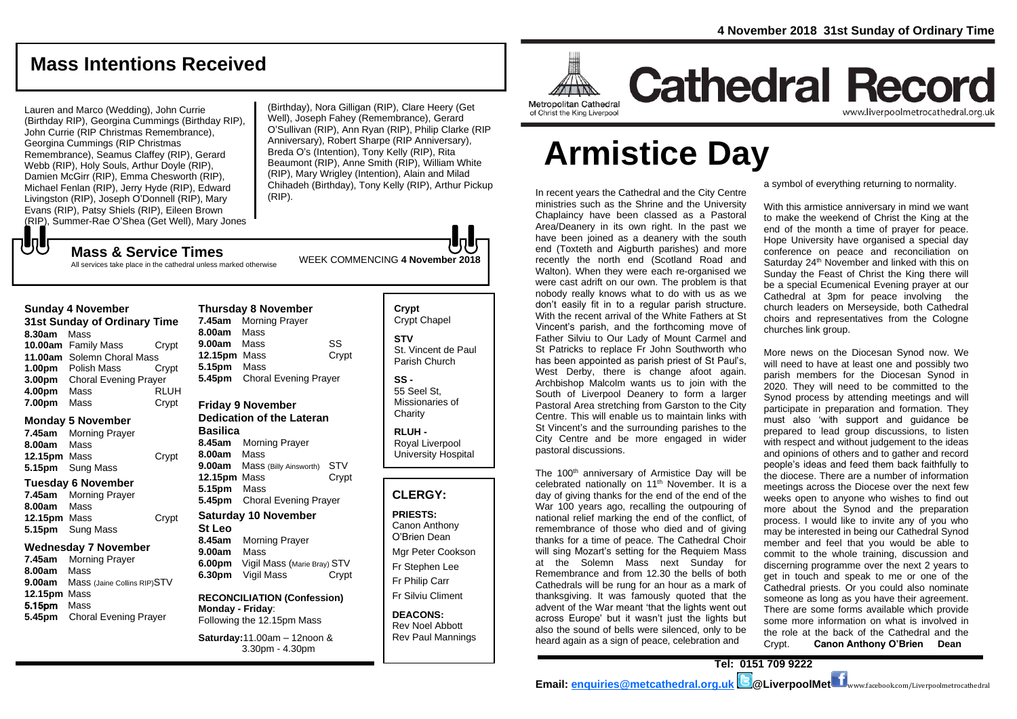## **Mass Intentions Received**

Lauren and Marco (Wedding), John Currie (Birthday RIP), Georgina Cummings (Birthday RIP), John Currie (RIP Christmas Remembrance), Georgina Cummings (RIP Christmas Remembrance), Seamus Claffey (RIP), Gerard Webb (RIP), Holy Souls, Arthur Doyle (RIP), Damien McGirr (RIP), Emma Chesworth (RIP), Michael Fenlan (RIP), Jerry Hyde (RIP), Edward Livingston (RIP), Joseph O'Donnell (RIP), Mary Evans (RIP), Patsy Shiels (RIP), Eileen Brown (RIP), Summer-Rae O'Shea (Get Well), Mary Jones

(Birthday), Nora Gilligan (RIP), Clare Heery (Get Well), Joseph Fahey (Remembrance), Gerard O'Sullivan (RIP), Ann Ryan (RIP), Philip Clarke (RIP Anniversary), Robert Sharpe (RIP Anniversary), Breda O's (Intention), Tony Kelly (RIP), Rita Beaumont (RIP), Anne Smith (RIP), William White (RIP), Mary Wrigley (Intention), Alain and Milad Chihadeh (Birthday), Tony Kelly (RIP), Arthur Pickup (RIP).

WEEK COMMENCING **4 November <sup>2018</sup> Mass & Service Times** All services take place in the cathedral unless marked otherwise

### **Sunday 4 November 31st Sunday of Ordinary Time 8.30am** Mass **10.00am** Family Mass Crypt **11.00am** Solemn Choral Mass

もし

**1.00pm** Polish Mass Crypt **3.00pm** Choral Evening Prayer **4.00pm** Mass RLUH **7.00pm** Mass Crypt

### **Monday 5 November**

**7.45am** Morning Prayer **8.00am** Mass **12.15pm** Mass Crypt **5.15pm** Sung Mass

### **Tuesday 6 November**

**7.45am** Morning Prayer **8.00am** Mass **12.15pm** Mass Crypt **5.15pm** Sung Mass

### **Wednesday 7 November**

**7.45am** Morning Prayer **8.00am** Mass **9.00am** Mass (Jaine Collins RIP)STV **12.15pm** Mass 5.15pm Mass **5.45pm** Choral Evening Prayer

### **Thursday 8 November 7.45am** Morning Prayer **8.00am** Mass

**9.00am** Mass SS **12.15pm** Mass Crypt **5.15pm** Mass **5.45pm** Choral Evening Prayer

### **Friday 9 November**

**Dedication of the Lateran Basilica 8.45am** Morning Prayer **8.00am** Mass **9.00am** Mass (Billy Ainsworth) STV **12.15pm** Mass Crypt **5.15pm** Mass **5.45pm** Choral Evening Prayer

### **Saturday 10 November St Leo 8.45am** Morning Prayer

**9.00am** Mass **6.00pm** Vigil Mass (Marie Bray) STV **6.30pm** Vigil Mass Crypt

### **RECONCILIATION (Confession) Monday - Friday**: Following the 12.15pm Mass

**Saturday:**11.00am – 12noon & 3.30pm - 4.30pm

### **Crypt**  Crypt Chapel **STV**

St. Vincent de Paul Parish Church

### **SS -**

55 Seel St, Missionaries of **Charity** 

**RLUH -** Royal Liverpool University Hospital

### **CLERGY:**

**PRIESTS:** Canon Anthony O'Brien *Dean*

Mgr Peter Cookson Fr Stephen Lee Fr Philip Carr

Fr Silviu Climent

### **DEACONS:** Rev Noel Abbott Rev Paul Mannings



## **Cathedral Record** www.liverpoolmetrocathedral.org.ul

of Christ the King Liverpool

# **Armistice Day**

In recent years the Cathedral and the City Centre ministries such as the Shrine and the University Chaplaincy have been classed as a Pastoral Area/Deanery in its own right. In the past we have been joined as a deanery with the south end (Toxteth and Aigburth parishes) and more recently the north end (Scotland Road and Walton). When they were each re-organised we were cast adrift on our own. The problem is that nobody really knows what to do with us as we don't easily fit in to a regular parish structure. With the recent arrival of the White Fathers at St Vincent's parish, and the forthcoming move of Father Silviu to Our Lady of Mount Carmel and St Patricks to replace Fr John Southworth who has been appointed as parish priest of St Paul's. West Derby, there is change afoot again. Archbishop Malcolm wants us to join with the South of Liverpool Deanery to form a larger Pastoral Area stretching from Garston to the City Centre. This will enable us to maintain links with St Vincent's and the surrounding parishes to the City Centre and be more engaged in wider pastoral discussions.

The 100<sup>th</sup> anniversary of Armistice Day will be celebrated nationally on 11<sup>th</sup> November. It is a day of giving thanks for the end of the end of the War 100 years ago, recalling the outpouring of national relief marking the end of the conflict, of remembrance of those who died and of giving thanks for a time of peace. The Cathedral Choir will sing Mozart's setting for the Requiem Mass at the Solemn Mass next Sunday for Remembrance and from 12.30 the bells of both Cathedrals will be rung for an hour as a mark of thanksgiving. It was famously quoted that the advent of the War meant 'that the lights went out across Europe' but it wasn't just the lights but also the sound of bells were silenced, only to be heard again as a sign of peace, celebration and

a symbol of everything returning to normality.

With this armistice anniversary in mind we want to make the weekend of Christ the King at the end of the month a time of prayer for peace. Hope University have organised a special day conference on peace and reconciliation on Saturday 24<sup>th</sup> November and linked with this on Sunday the Feast of Christ the King there will be a special Ecumenical Evening prayer at our Cathedral at 3pm for peace involving the church leaders on Merseyside, both Cathedral choirs and representatives from the Cologne churches link group.

More news on the Diocesan Synod now. We will need to have at least one and possibly two parish members for the Diocesan Synod in 2020. They will need to be committed to the Synod process by attending meetings and will participate in preparation and formation. They must also 'with support and guidance be prepared to lead group discussions, to listen with respect and without judgement to the ideas and opinions of others and to gather and record people's ideas and feed them back faithfully to the diocese. There are a number of information meetings across the Diocese over the next few weeks open to anyone who wishes to find out more about the Synod and the preparation process. I would like to invite any of you who may be interested in being our Cathedral Synod member and feel that you would be able to commit to the whole training, discussion and discerning programme over the next 2 years to get in touch and speak to me or one of the Cathedral priests. Or you could also nominate someone as long as you have their agreement. There are some forms available which provide some more information on what is involved in the role at the back of the Cathedral and the Crypt. **Canon Anthony O'Brien Dean**

**Tel: 0151 709 9222**